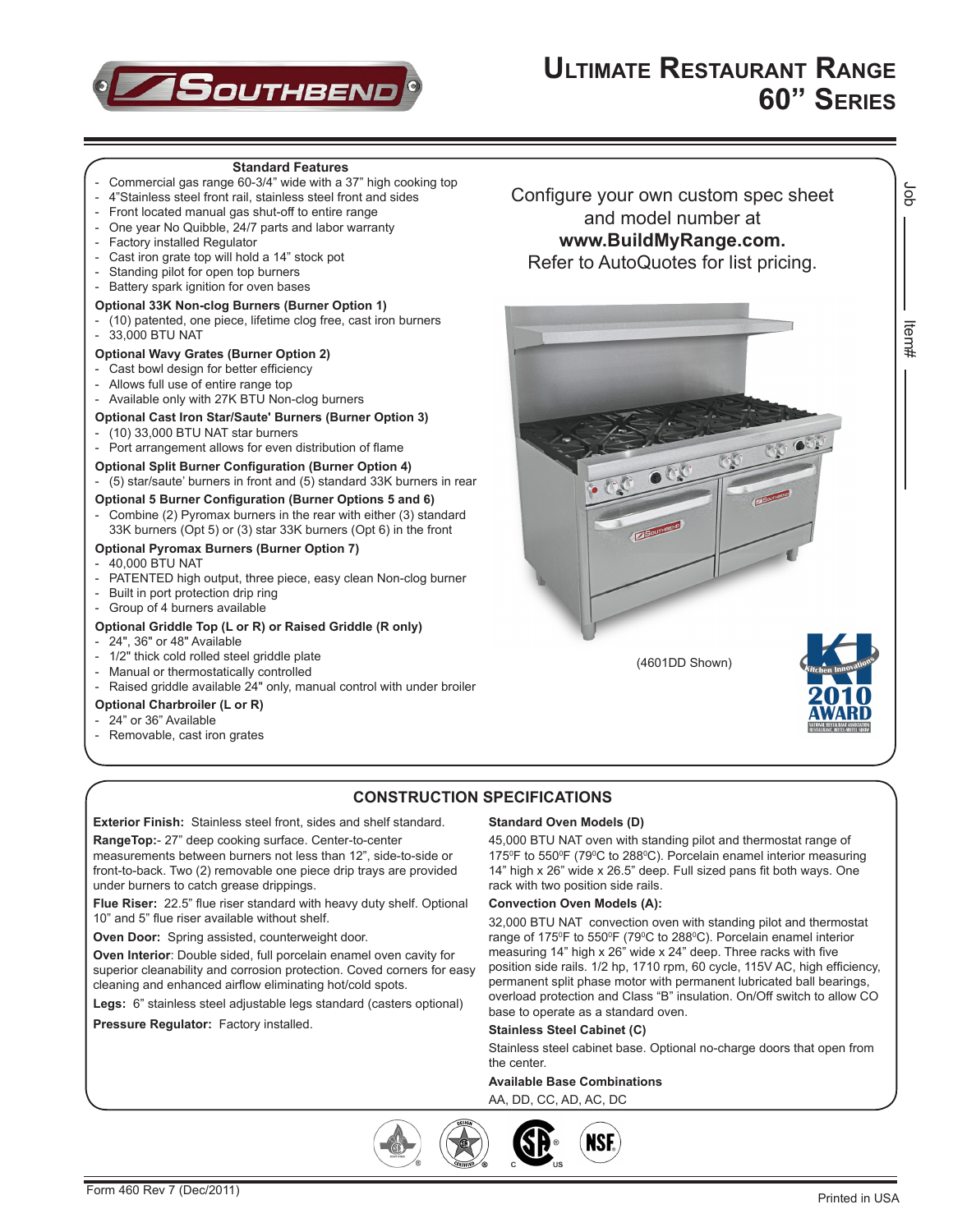

Job Item#

ltem#

ă

### **Standard Features** - Commercial gas range 60-3/4" wide with a 37" high cooking top 4"Stainless steel front rail, stainless steel front and sides - Front located manual gas shut-off to entire range - One year No Quibble, 24/7 parts and labor warranty<br>- Factory installed Requilator Factory installed Regulator - Cast iron grate top will hold a 14" stock pot Standing pilot for open top burners Battery spark ignition for oven bases **Optional 33K Non-clog Burners (Burner Option 1)** - (10) patented, one piece, lifetime clog free, cast iron burners 33,000 BTU NAT **Optional Wavy Grates (Burner Option 2)** Cast bowl design for better efficiency Allows full use of entire range top - Available only with 27K BTU Non-clog burners **Optional Cast Iron Star/Saute' Burners (Burner Option 3)** - (10) 33,000 BTU NAT star burners Port arrangement allows for even distribution of flame **Optional Split Burner Configuration (Burner Option 4)** - (5) star/saute' burners in front and (5) standard 33K burners in rear **Optional 5 Burner Configuration (Burner Options 5 and 6)** - Combine (2) Pyromax burners in the rear with either (3) standard 33K burners (Opt 5) or (3) star 33K burners (Opt 6) in the front **Optional Pyromax Burners (Burner Option 7)** - 40,000 BTU NAT - PATENTED high output, three piece, easy clean Non-clog burner

- Built in port protection drip ring
- Group of 4 burners available

## **Optional Griddle Top (L or R) or Raised Griddle (R only)**

- 24", 36" or 48" Available
- 1/2" thick cold rolled steel griddle plate
- Manual or thermostatically controlled
- Raised griddle available 24" only, manual control with under broiler

# **Optional Charbroiler (L or R)**

- 24" or 36" Available
- Removable, cast iron grates

Configure your own custom spec sheet and model number at **www.BuildMyRange.com.** Refer to AutoQuotes for list pricing.



# **CONSTRUCTION SPECIFICATIONS**

**Exterior Finish:** Stainless steel front, sides and shelf standard.

**RangeTop:**- 27" deep cooking surface. Center-to-center measurements between burners not less than 12", side-to-side or front-to-back. Two (2) removable one piece drip trays are provided under burners to catch grease drippings.

**Flue Riser:** 22.5" flue riser standard with heavy duty shelf. Optional 10" and 5" flue riser available without shelf.

**Oven Door:** Spring assisted, counterweight door.

**Oven Interior**: Double sided, full porcelain enamel oven cavity for superior cleanability and corrosion protection. Coved corners for easy cleaning and enhanced airflow eliminating hot/cold spots.

**Legs:** 6" stainless steel adjustable legs standard (casters optional)

#### **Pressure Regulator:** Factory installed.

### **Standard Oven Models (D)**

45,000 BTU NAT oven with standing pilot and thermostat range of 175<sup>°</sup>F to 550<sup>°</sup>F (79<sup>°</sup>C to 288<sup>°</sup>C). Porcelain enamel interior measuring 14" high x 26" wide x 26.5" deep. Full sized pans fit both ways. One rack with two position side rails.

#### **Convection Oven Models (A):**

32,000 BTU NAT convection oven with standing pilot and thermostat range of 175<sup>°</sup>F to 550<sup>°</sup>F (79<sup>°</sup>C to 288<sup>°</sup>C). Porcelain enamel interior measuring 14" high x 26" wide x 24" deep. Three racks with five position side rails. 1/2 hp, 1710 rpm, 60 cycle, 115V AC, high efficiency, permanent split phase motor with permanent lubricated ball bearings, overload protection and Class "B" insulation. On/Off switch to allow CO base to operate as a standard oven.

### **Stainless Steel Cabinet (C)**

Stainless steel cabinet base. Optional no-charge doors that open from the center.

### **Available Base Combinations**

AA, DD, CC, AD, AC, DC